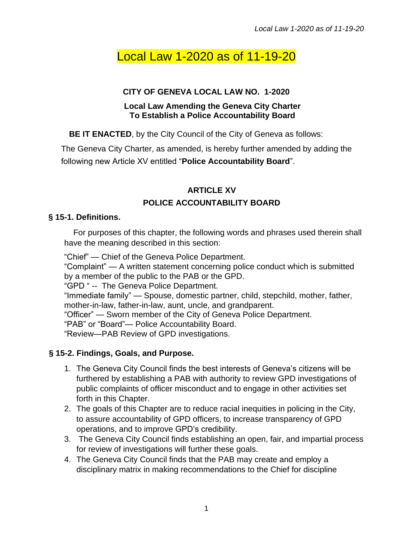# Local Law 1-2020 as of 11-19-20

#### **CITY OF GENEVA LOCAL LAW NO. 1-2020**

#### **Local Law Amending the Geneva City Charter To Establish a Police Accountability Board**

**BE IT ENACTED**, by the City Council of the City of Geneva as follows:

The Geneva City Charter, as amended, is hereby further amended by adding the following new Article XV entitled "**Police Accountability Board**".

## **ARTICLE XV POLICE ACCOUNTABILITY BOARD**

#### **§ 15-1. Definitions.**

For purposes of this chapter, the following words and phrases used therein shall have the meaning described in this section:

"Chief" — Chief of the Geneva Police Department.

"Complaint" — A written statement concerning police conduct which is submitted by a member of the public to the PAB or the GPD.

"GPD " -- The Geneva Police Department.

"Immediate family" — Spouse, domestic partner, child, stepchild, mother, father, mother-in-law, father-in-law, aunt, uncle, and grandparent.

"Officer" — Sworn member of the City of Geneva Police Department.

"PAB" or "Board"— Police Accountability Board.

"Review—PAB Review of GPD investigations.

## **§ 15-2. Findings, Goals, and Purpose.**

- 1. The Geneva City Council finds the best interests of Geneva's citizens will be furthered by establishing a PAB with authority to review GPD investigations of public complaints of officer misconduct and to engage in other activities set forth in this Chapter.
- 2. The goals of this Chapter are to reduce racial inequities in policing in the City, to assure accountability of GPD officers, to increase transparency of GPD operations, and to improve GPD's credibility.
- 3. The Geneva City Council finds establishing an open, fair, and impartial process for review of investigations will further these goals.
- 4. The Geneva City Council finds that the PAB may create and employ a disciplinary matrix in making recommendations to the Chief for discipline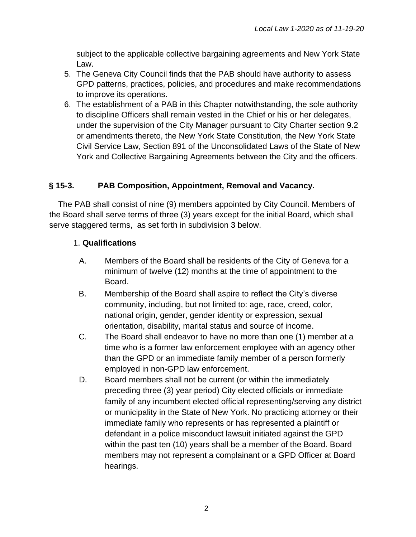subject to the applicable collective bargaining agreements and New York State Law.

- 5. The Geneva City Council finds that the PAB should have authority to assess GPD patterns, practices, policies, and procedures and make recommendations to improve its operations.
- 6. The establishment of a PAB in this Chapter notwithstanding, the sole authority to discipline Officers shall remain vested in the Chief or his or her delegates, under the supervision of the City Manager pursuant to City Charter section 9.2 or amendments thereto, the New York State Constitution, the New York State Civil Service Law, Section 891 of the Unconsolidated Laws of the State of New York and Collective Bargaining Agreements between the City and the officers.

#### **§ 15-3. PAB Composition, Appointment, Removal and Vacancy.**

The PAB shall consist of nine (9) members appointed by City Council. Members of the Board shall serve terms of three (3) years except for the initial Board, which shall serve staggered terms, as set forth in subdivision 3 below.

#### 1. **Qualifications**

- A. Members of the Board shall be residents of the City of Geneva for a minimum of twelve (12) months at the time of appointment to the Board.
- B. Membership of the Board shall aspire to reflect the City's diverse community, including, but not limited to: age, race, creed, color, national origin, gender, gender identity or expression, sexual orientation, disability, marital status and source of income.
- C. The Board shall endeavor to have no more than one (1) member at a time who is a former law enforcement employee with an agency other than the GPD or an immediate family member of a person formerly employed in non-GPD law enforcement.
- D. Board members shall not be current (or within the immediately preceding three (3) year period) City elected officials or immediate family of any incumbent elected official representing/serving any district or municipality in the State of New York. No practicing attorney or their immediate family who represents or has represented a plaintiff or defendant in a police misconduct lawsuit initiated against the GPD within the past ten (10) years shall be a member of the Board. Board members may not represent a complainant or a GPD Officer at Board hearings.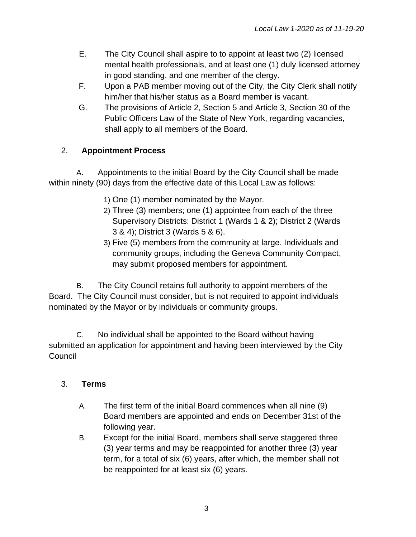- E. The City Council shall aspire to to appoint at least two (2) licensed mental health professionals, and at least one (1) duly licensed attorney in good standing, and one member of the clergy.
- F. Upon a PAB member moving out of the City, the City Clerk shall notify him/her that his/her status as a Board member is vacant.
- G. The provisions of Article 2, Section 5 and Article 3, Section 30 of the Public Officers Law of the State of New York, regarding vacancies, shall apply to all members of the Board.

# 2. **Appointment Process**

A. Appointments to the initial Board by the City Council shall be made within ninety (90) days from the effective date of this Local Law as follows:

- 1) One (1) member nominated by the Mayor.
- 2) Three (3) members; one (1) appointee from each of the three Supervisory Districts: District 1 (Wards 1 & 2); District 2 (Wards 3 & 4); District 3 (Wards 5 & 6).
- 3) Five (5) members from the community at large. Individuals and community groups, including the Geneva Community Compact, may submit proposed members for appointment.

B. The City Council retains full authority to appoint members of the Board. The City Council must consider, but is not required to appoint individuals nominated by the Mayor or by individuals or community groups.

C. No individual shall be appointed to the Board without having submitted an application for appointment and having been interviewed by the City **Council** 

# 3. **Terms**

- A. The first term of the initial Board commences when all nine (9) Board members are appointed and ends on December 31st of the following year.
- B. Except for the initial Board, members shall serve staggered three (3) year terms and may be reappointed for another three (3) year term, for a total of six (6) years, after which, the member shall not be reappointed for at least six (6) years.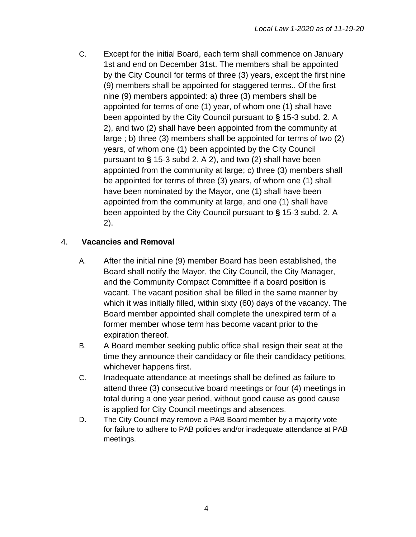C. Except for the initial Board, each term shall commence on January 1st and end on December 31st. The members shall be appointed by the City Council for terms of three (3) years, except the first nine (9) members shall be appointed for staggered terms.. Of the first nine (9) members appointed: a) three (3) members shall be appointed for terms of one (1) year, of whom one (1) shall have been appointed by the City Council pursuant to **§** 15-3 subd. 2. A 2), and two (2) shall have been appointed from the community at large ; b) three (3) members shall be appointed for terms of two (2) years, of whom one (1) been appointed by the City Council pursuant to **§** 15-3 subd 2. A 2), and two (2) shall have been appointed from the community at large; c) three (3) members shall be appointed for terms of three (3) years, of whom one (1) shall have been nominated by the Mayor, one (1) shall have been appointed from the community at large, and one (1) shall have been appointed by the City Council pursuant to **§** 15-3 subd. 2. A 2).

#### 4. **Vacancies and Removal**

- A. After the initial nine (9) member Board has been established, the Board shall notify the Mayor, the City Council, the City Manager, and the Community Compact Committee if a board position is vacant. The vacant position shall be filled in the same manner by which it was initially filled, within sixty (60) days of the vacancy. The Board member appointed shall complete the unexpired term of a former member whose term has become vacant prior to the expiration thereof.
- B. A Board member seeking public office shall resign their seat at the time they announce their candidacy or file their candidacy petitions, whichever happens first.
- C. Inadequate attendance at meetings shall be defined as failure to attend three (3) consecutive board meetings or four (4) meetings in total during a one year period, without good cause as good cause is applied for City Council meetings and absences.
- D. The City Council may remove a PAB Board member by a majority vote for failure to adhere to PAB policies and/or inadequate attendance at PAB meetings.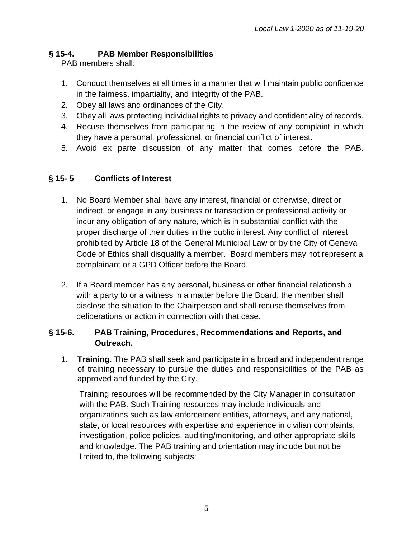#### **§ 15-4. PAB Member Responsibilities**

PAB members shall:

- 1. Conduct themselves at all times in a manner that will maintain public confidence in the fairness, impartiality, and integrity of the PAB.
- 2. Obey all laws and ordinances of the City.
- 3. Obey all laws protecting individual rights to privacy and confidentiality of records.
- 4. Recuse themselves from participating in the review of any complaint in which they have a personal, professional, or financial conflict of interest.
- 5. Avoid ex parte discussion of any matter that comes before the PAB.

#### **§ 15- 5 Conflicts of Interest**

- 1. No Board Member shall have any interest, financial or otherwise, direct or indirect, or engage in any business or transaction or professional activity or incur any obligation of any nature, which is in substantial conflict with the proper discharge of their duties in the public interest. Any conflict of interest prohibited by Article 18 of the General Municipal Law or by the City of Geneva Code of Ethics shall disqualify a member. Board members may not represent a complainant or a GPD Officer before the Board.
- 2. If a Board member has any personal, business or other financial relationship with a party to or a witness in a matter before the Board, the member shall disclose the situation to the Chairperson and shall recuse themselves from deliberations or action in connection with that case.

#### **§ 15-6. PAB Training, Procedures, Recommendations and Reports, and Outreach.**

1. **Training.** The PAB shall seek and participate in a broad and independent range of training necessary to pursue the duties and responsibilities of the PAB as approved and funded by the City.

Training resources will be recommended by the City Manager in consultation with the PAB. Such Training resources may include individuals and organizations such as law enforcement entities, attorneys, and any national, state, or local resources with expertise and experience in civilian complaints, investigation, police policies, auditing/monitoring, and other appropriate skills and knowledge. The PAB training and orientation may include but not be limited to, the following subjects: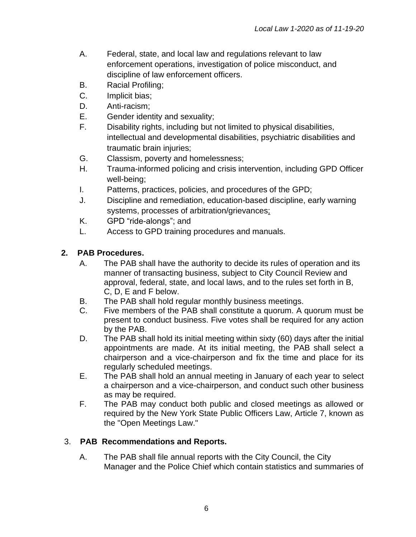- A. Federal, state, and local law and regulations relevant to law enforcement operations, investigation of police misconduct, and discipline of law enforcement officers.
- B. Racial Profiling;
- C. Implicit bias;
- D. Anti-racism;
- E. Gender identity and sexuality;
- F. Disability rights, including but not limited to physical disabilities, intellectual and developmental disabilities, psychiatric disabilities and traumatic brain injuries;
- G. Classism, poverty and homelessness;
- H. Trauma-informed policing and crisis intervention, including GPD Officer well-being;
- I. Patterns, practices, policies, and procedures of the GPD;
- J. Discipline and remediation, education-based discipline, early warning systems, processes of arbitration/grievances;
- K. GPD "ride-alongs"; and
- L. Access to GPD training procedures and manuals.

## **2. PAB Procedures.**

- A. The PAB shall have the authority to decide its rules of operation and its manner of transacting business, subject to City Council Review and approval, federal, state, and local laws, and to the rules set forth in B, C, D, E and F below.
- B. The PAB shall hold regular monthly business meetings.
- C. Five members of the PAB shall constitute a quorum. A quorum must be present to conduct business. Five votes shall be required for any action by the PAB.
- D. The PAB shall hold its initial meeting within sixty (60) days after the initial appointments are made. At its initial meeting, the PAB shall select a chairperson and a vice-chairperson and fix the time and place for its regularly scheduled meetings.
- E. The PAB shall hold an annual meeting in January of each year to select a chairperson and a vice-chairperson, and conduct such other business as may be required.
- F. The PAB may conduct both public and closed meetings as allowed or required by the New York State Public Officers Law, Article 7, known as the "Open Meetings Law."

## 3. **PAB Recommendations and Reports.**

A. The PAB shall file annual reports with the City Council, the City Manager and the Police Chief which contain statistics and summaries of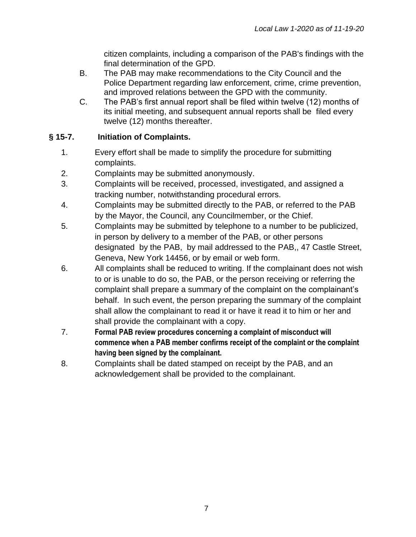citizen complaints, including a comparison of the PAB's findings with the final determination of the GPD.

- B. The PAB may make recommendations to the City Council and the Police Department regarding law enforcement, crime, crime prevention, and improved relations between the GPD with the community.
- C. The PAB's first annual report shall be filed within twelve (12) months of its initial meeting, and subsequent annual reports shall be filed every twelve (12) months thereafter.

## **§ 15-7. Initiation of Complaints.**

- 1. Every effort shall be made to simplify the procedure for submitting complaints.
- 2. Complaints may be submitted anonymously.
- 3. Complaints will be received, processed, investigated, and assigned a tracking number, notwithstanding procedural errors.
- 4. Complaints may be submitted directly to the PAB, or referred to the PAB by the Mayor, the Council, any Councilmember, or the Chief.
- 5. Complaints may be submitted by telephone to a number to be publicized, in person by delivery to a member of the PAB, or other persons designated by the PAB, by mail addressed to the PAB,, 47 Castle Street, Geneva, New York 14456, or by email or web form.
- 6. All complaints shall be reduced to writing. If the complainant does not wish to or is unable to do so, the PAB, or the person receiving or referring the complaint shall prepare a summary of the complaint on the complainant's behalf. In such event, the person preparing the summary of the complaint shall allow the complainant to read it or have it read it to him or her and shall provide the complainant with a copy.
- 7. **Formal PAB review procedures concerning a complaint of misconduct will commence when a PAB member confirms receipt of the complaint or the complaint having been signed by the complainant.**
- 8. Complaints shall be dated stamped on receipt by the PAB, and an acknowledgement shall be provided to the complainant.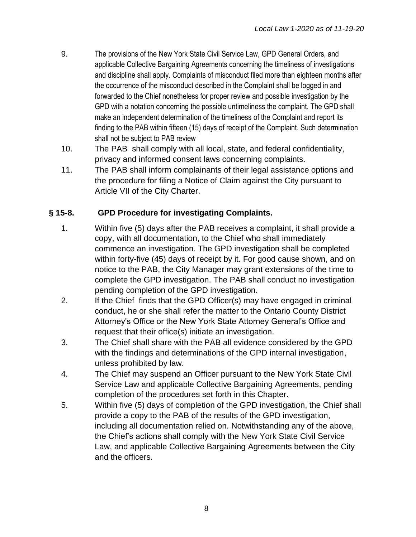- 9. The provisions of the New York State Civil Service Law, GPD General Orders, and applicable Collective Bargaining Agreements concerning the timeliness of investigations and discipline shall apply. Complaints of misconduct filed more than eighteen months after the occurrence of the misconduct described in the Complaint shall be logged in and forwarded to the Chief nonetheless for proper review and possible investigation by the GPD with a notation concerning the possible untimeliness the complaint. The GPD shall make an independent determination of the timeliness of the Complaint and report its finding to the PAB within fifteen (15) days of receipt of the Complaint. Such determination shall not be subject to PAB review
- 10. The PAB shall comply with all local, state, and federal confidentiality, privacy and informed consent laws concerning complaints.
- 11. The PAB shall inform complainants of their legal assistance options and the procedure for filing a Notice of Claim against the City pursuant to Article VII of the City Charter.

#### **§ 15-8. GPD Procedure for investigating Complaints.**

- 1. Within five (5) days after the PAB receives a complaint, it shall provide a copy, with all documentation, to the Chief who shall immediately commence an investigation. The GPD investigation shall be completed within forty-five (45) days of receipt by it. For good cause shown, and on notice to the PAB, the City Manager may grant extensions of the time to complete the GPD investigation. The PAB shall conduct no investigation pending completion of the GPD investigation.
- 2. If the Chief finds that the GPD Officer(s) may have engaged in criminal conduct, he or she shall refer the matter to the Ontario County District Attorney's Office or the New York State Attorney General's Office and request that their office(s) initiate an investigation.
- 3. The Chief shall share with the PAB all evidence considered by the GPD with the findings and determinations of the GPD internal investigation, unless prohibited by law.
- 4. The Chief may suspend an Officer pursuant to the New York State Civil Service Law and applicable Collective Bargaining Agreements, pending completion of the procedures set forth in this Chapter.
- 5. Within five (5) days of completion of the GPD investigation, the Chief shall provide a copy to the PAB of the results of the GPD investigation, including all documentation relied on. Notwithstanding any of the above, the Chief's actions shall comply with the New York State Civil Service Law, and applicable Collective Bargaining Agreements between the City and the officers.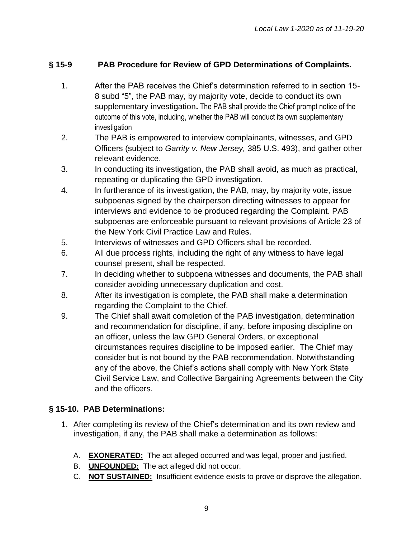## **§ 15-9 PAB Procedure for Review of GPD Determinations of Complaints.**

- 1. After the PAB receives the Chief's determination referred to in section 15- 8 subd "5", the PAB may, by majority vote, decide to conduct its own supplementary investigation**.** The PAB shall provide the Chief prompt notice of the outcome of this vote, including, whether the PAB will conduct its own supplementary investigation
- 2. The PAB is empowered to interview complainants, witnesses, and GPD Officers (subject to *Garrity v. New Jersey,* 385 U.S. 493), and gather other relevant evidence.
- 3. In conducting its investigation, the PAB shall avoid, as much as practical, repeating or duplicating the GPD investigation.
- 4. In furtherance of its investigation, the PAB, may, by majority vote, issue subpoenas signed by the chairperson directing witnesses to appear for interviews and evidence to be produced regarding the Complaint. PAB subpoenas are enforceable pursuant to relevant provisions of Article 23 of the New York Civil Practice Law and Rules.
- 5. Interviews of witnesses and GPD Officers shall be recorded.
- 6. All due process rights, including the right of any witness to have legal counsel present, shall be respected.
- 7. In deciding whether to subpoena witnesses and documents, the PAB shall consider avoiding unnecessary duplication and cost.
- 8. After its investigation is complete, the PAB shall make a determination regarding the Complaint to the Chief.
- 9. The Chief shall await completion of the PAB investigation, determination and recommendation for discipline, if any, before imposing discipline on an officer, unless the law GPD General Orders, or exceptional circumstances requires discipline to be imposed earlier. The Chief may consider but is not bound by the PAB recommendation. Notwithstanding any of the above, the Chief's actions shall comply with New York State Civil Service Law, and Collective Bargaining Agreements between the City and the officers.

## **§ 15-10. PAB Determinations:**

- 1. After completing its review of the Chief's determination and its own review and investigation, if any, the PAB shall make a determination as follows:
	- A. **EXONERATED:** The act alleged occurred and was legal, proper and justified.
	- B. **UNFOUNDED:** The act alleged did not occur.
	- C. **NOT SUSTAINED:** Insufficient evidence exists to prove or disprove the allegation.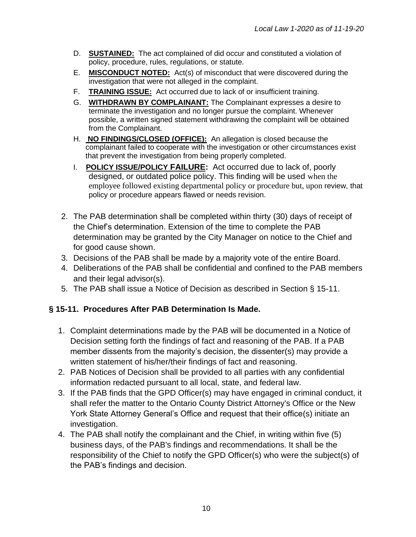- D. **SUSTAINED:** The act complained of did occur and constituted a violation of policy, procedure, rules, regulations, or statute.
- E. **MISCONDUCT NOTED:** Act(s) of misconduct that were discovered during the investigation that were not alleged in the complaint.
- F. **TRAINING ISSUE:** Act occurred due to lack of or insufficient training.
- G. **WITHDRAWN BY COMPLAINANT:** The Complainant expresses a desire to terminate the investigation and no longer pursue the complaint. Whenever possible, a written signed statement withdrawing the complaint will be obtained from the Complainant.
- H. **NO FINDINGS/CLOSED (OFFICE):** An allegation is closed because the complainant failed to cooperate with the investigation or other circumstances exist that prevent the investigation from being properly completed.
- I. **POLICY ISSUE/POLICY FAILURE:** Act occurred due to lack of, poorly designed, or outdated police policy. This finding will be used when the employee followed existing departmental policy or procedure but, upon review, that policy or procedure appears flawed or needs revision.
- 2. The PAB determination shall be completed within thirty (30) days of receipt of the Chief's determination. Extension of the time to complete the PAB determination may be granted by the City Manager on notice to the Chief and for good cause shown.
- 3. Decisions of the PAB shall be made by a majority vote of the entire Board.
- 4. Deliberations of the PAB shall be confidential and confined to the PAB members and their legal advisor(s).
- 5. The PAB shall issue a Notice of Decision as described in Section § 15-11.

## **§ 15-11. Procedures After PAB Determination Is Made.**

- 1. Complaint determinations made by the PAB will be documented in a Notice of Decision setting forth the findings of fact and reasoning of the PAB. If a PAB member dissents from the majority's decision, the dissenter(s) may provide a written statement of his/her/their findings of fact and reasoning.
- 2. PAB Notices of Decision shall be provided to all parties with any confidential information redacted pursuant to all local, state, and federal law.
- 3. If the PAB finds that the GPD Officer(s) may have engaged in criminal conduct, it shall refer the matter to the Ontario County District Attorney's Office or the New York State Attorney General's Office and request that their office(s) initiate an investigation.
- 4. The PAB shall notify the complainant and the Chief, in writing within five (5) business days, of the PAB's findings and recommendations. It shall be the responsibility of the Chief to notify the GPD Officer(s) who were the subject(s) of the PAB's findings and decision.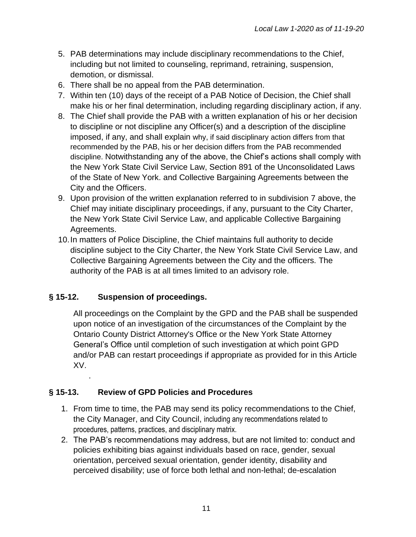- 5. PAB determinations may include disciplinary recommendations to the Chief, including but not limited to counseling, reprimand, retraining, suspension, demotion, or dismissal.
- 6. There shall be no appeal from the PAB determination.
- 7. Within ten (10) days of the receipt of a PAB Notice of Decision, the Chief shall make his or her final determination, including regarding disciplinary action, if any.
- 8. The Chief shall provide the PAB with a written explanation of his or her decision to discipline or not discipline any Officer(s) and a description of the discipline imposed, if any, and shall explain why, if said disciplinary action differs from that recommended by the PAB, his or her decision differs from the PAB recommended discipline. Notwithstanding any of the above, the Chief's actions shall comply with the New York State Civil Service Law, Section 891 of the Unconsolidated Laws of the State of New York. and Collective Bargaining Agreements between the City and the Officers.
- 9. Upon provision of the written explanation referred to in subdivision 7 above, the Chief may initiate disciplinary proceedings, if any, pursuant to the City Charter, the New York State Civil Service Law, and applicable Collective Bargaining Agreements.
- 10.In matters of Police Discipline, the Chief maintains full authority to decide discipline subject to the City Charter, the New York State Civil Service Law, and Collective Bargaining Agreements between the City and the officers. The authority of the PAB is at all times limited to an advisory role.

## **§ 15-12. Suspension of proceedings.**

.

All proceedings on the Complaint by the GPD and the PAB shall be suspended upon notice of an investigation of the circumstances of the Complaint by the Ontario County District Attorney's Office or the New York State Attorney General's Office until completion of such investigation at which point GPD and/or PAB can restart proceedings if appropriate as provided for in this Article XV.

## **§ 15-13. Review of GPD Policies and Procedures**

- 1. From time to time, the PAB may send its policy recommendations to the Chief, the City Manager, and City Council, including any recommendations related to procedures, patterns, practices, and disciplinary matrix.
- 2. The PAB's recommendations may address, but are not limited to: conduct and policies exhibiting bias against individuals based on race, gender, sexual orientation, perceived sexual orientation, gender identity, disability and perceived disability; use of force both lethal and non-lethal; de-escalation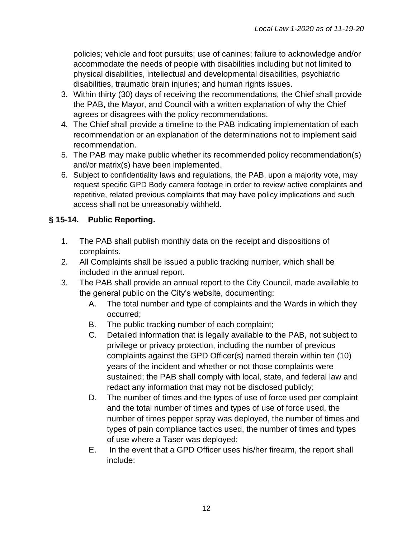policies; vehicle and foot pursuits; use of canines; failure to acknowledge and/or accommodate the needs of people with disabilities including but not limited to physical disabilities, intellectual and developmental disabilities, psychiatric disabilities, traumatic brain injuries; and human rights issues.

- 3. Within thirty (30) days of receiving the recommendations, the Chief shall provide the PAB, the Mayor, and Council with a written explanation of why the Chief agrees or disagrees with the policy recommendations.
- 4. The Chief shall provide a timeline to the PAB indicating implementation of each recommendation or an explanation of the determinations not to implement said recommendation.
- 5. The PAB may make public whether its recommended policy recommendation(s) and/or matrix(s) have been implemented.
- 6. Subject to confidentiality laws and regulations, the PAB, upon a majority vote, may request specific GPD Body camera footage in order to review active complaints and repetitive, related previous complaints that may have policy implications and such access shall not be unreasonably withheld.

## **§ 15-14. Public Reporting.**

- 1. The PAB shall publish monthly data on the receipt and dispositions of complaints.
- 2. All Complaints shall be issued a public tracking number, which shall be included in the annual report.
- 3. The PAB shall provide an annual report to the City Council, made available to the general public on the City's website, documenting:
	- A. The total number and type of complaints and the Wards in which they occurred;
	- B. The public tracking number of each complaint;
	- C. Detailed information that is legally available to the PAB, not subject to privilege or privacy protection, including the number of previous complaints against the GPD Officer(s) named therein within ten (10) years of the incident and whether or not those complaints were sustained; the PAB shall comply with local, state, and federal law and redact any information that may not be disclosed publicly;
	- D. The number of times and the types of use of force used per complaint and the total number of times and types of use of force used, the number of times pepper spray was deployed, the number of times and types of pain compliance tactics used, the number of times and types of use where a Taser was deployed;
	- E. In the event that a GPD Officer uses his/her firearm, the report shall include: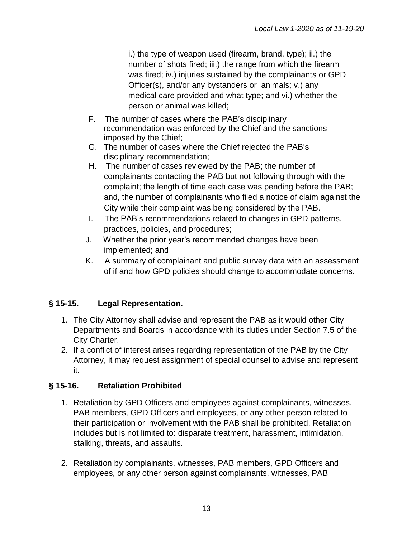i.) the type of weapon used (firearm, brand, type); ii.) the number of shots fired; iii.) the range from which the firearm was fired; iv.) injuries sustained by the complainants or GPD Officer(s), and/or any bystanders or animals; v.) any medical care provided and what type; and vi.) whether the person or animal was killed;

- F. The number of cases where the PAB's disciplinary recommendation was enforced by the Chief and the sanctions imposed by the Chief;
- G. The number of cases where the Chief rejected the PAB's disciplinary recommendation;
- H. The number of cases reviewed by the PAB; the number of complainants contacting the PAB but not following through with the complaint; the length of time each case was pending before the PAB; and, the number of complainants who filed a notice of claim against the City while their complaint was being considered by the PAB.
- I. The PAB's recommendations related to changes in GPD patterns, practices, policies, and procedures;
- J. Whether the prior year's recommended changes have been implemented; and
- K. A summary of complainant and public survey data with an assessment of if and how GPD policies should change to accommodate concerns.

# **§ 15-15. Legal Representation.**

- 1. The City Attorney shall advise and represent the PAB as it would other City Departments and Boards in accordance with its duties under Section 7.5 of the City Charter.
- 2. If a conflict of interest arises regarding representation of the PAB by the City Attorney, it may request assignment of special counsel to advise and represent it.

# **§ 15-16. Retaliation Prohibited**

- 1. Retaliation by GPD Officers and employees against complainants, witnesses, PAB members, GPD Officers and employees, or any other person related to their participation or involvement with the PAB shall be prohibited. Retaliation includes but is not limited to: disparate treatment, harassment, intimidation, stalking, threats, and assaults.
- 2. Retaliation by complainants, witnesses, PAB members, GPD Officers and employees, or any other person against complainants, witnesses, PAB